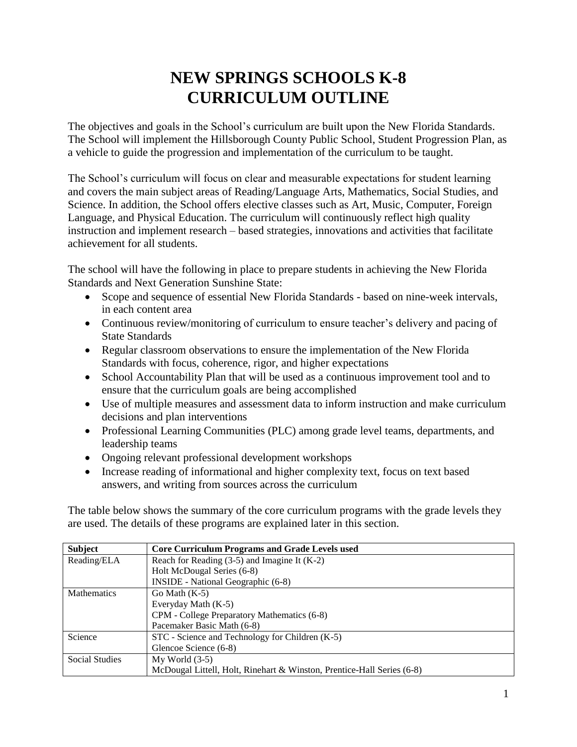# **NEW SPRINGS SCHOOLS K-8 CURRICULUM OUTLINE**

The objectives and goals in the School's curriculum are built upon the New Florida Standards. The School will implement the Hillsborough County Public School, Student Progression Plan, as a vehicle to guide the progression and implementation of the curriculum to be taught.

The School's curriculum will focus on clear and measurable expectations for student learning and covers the main subject areas of Reading/Language Arts, Mathematics, Social Studies, and Science. In addition, the School offers elective classes such as Art, Music, Computer, Foreign Language, and Physical Education. The curriculum will continuously reflect high quality instruction and implement research – based strategies, innovations and activities that facilitate achievement for all students.

The school will have the following in place to prepare students in achieving the New Florida Standards and Next Generation Sunshine State:

- Scope and sequence of essential New Florida Standards based on nine-week intervals, in each content area
- Continuous review/monitoring of curriculum to ensure teacher's delivery and pacing of State Standards
- Regular classroom observations to ensure the implementation of the New Florida Standards with focus, coherence, rigor, and higher expectations
- School Accountability Plan that will be used as a continuous improvement tool and to ensure that the curriculum goals are being accomplished
- Use of multiple measures and assessment data to inform instruction and make curriculum decisions and plan interventions
- Professional Learning Communities (PLC) among grade level teams, departments, and leadership teams
- Ongoing relevant professional development workshops
- Increase reading of informational and higher complexity text, focus on text based answers, and writing from sources across the curriculum

The table below shows the summary of the core curriculum programs with the grade levels they are used. The details of these programs are explained later in this section.

| <b>Subject</b>     | <b>Core Curriculum Programs and Grade Levels used</b>                  |  |  |
|--------------------|------------------------------------------------------------------------|--|--|
| Reading/ELA        | Reach for Reading $(3-5)$ and Imagine It $(K-2)$                       |  |  |
|                    | Holt McDougal Series (6-8)                                             |  |  |
|                    | <b>INSIDE</b> - National Geographic (6-8)                              |  |  |
| <b>Mathematics</b> | Go Math $(K-5)$                                                        |  |  |
|                    | Everyday Math (K-5)                                                    |  |  |
|                    | CPM - College Preparatory Mathematics (6-8)                            |  |  |
|                    | Pacemaker Basic Math (6-8)                                             |  |  |
| Science            | STC - Science and Technology for Children (K-5)                        |  |  |
|                    | Glencoe Science (6-8)                                                  |  |  |
| Social Studies     | $My World (3-5)$                                                       |  |  |
|                    | McDougal Littell, Holt, Rinehart & Winston, Prentice-Hall Series (6-8) |  |  |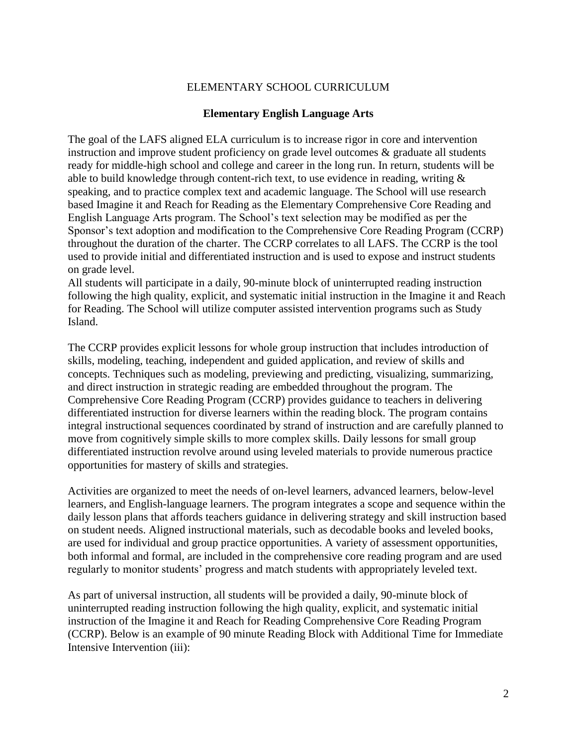#### ELEMENTARY SCHOOL CURRICULUM

#### **Elementary English Language Arts**

The goal of the LAFS aligned ELA curriculum is to increase rigor in core and intervention instruction and improve student proficiency on grade level outcomes & graduate all students ready for middle-high school and college and career in the long run. In return, students will be able to build knowledge through content-rich text, to use evidence in reading, writing & speaking, and to practice complex text and academic language. The School will use research based Imagine it and Reach for Reading as the Elementary Comprehensive Core Reading and English Language Arts program. The School's text selection may be modified as per the Sponsor's text adoption and modification to the Comprehensive Core Reading Program (CCRP) throughout the duration of the charter. The CCRP correlates to all LAFS. The CCRP is the tool used to provide initial and differentiated instruction and is used to expose and instruct students on grade level.

All students will participate in a daily, 90-minute block of uninterrupted reading instruction following the high quality, explicit, and systematic initial instruction in the Imagine it and Reach for Reading. The School will utilize computer assisted intervention programs such as Study Island.

The CCRP provides explicit lessons for whole group instruction that includes introduction of skills, modeling, teaching, independent and guided application, and review of skills and concepts. Techniques such as modeling, previewing and predicting, visualizing, summarizing, and direct instruction in strategic reading are embedded throughout the program. The Comprehensive Core Reading Program (CCRP) provides guidance to teachers in delivering differentiated instruction for diverse learners within the reading block. The program contains integral instructional sequences coordinated by strand of instruction and are carefully planned to move from cognitively simple skills to more complex skills. Daily lessons for small group differentiated instruction revolve around using leveled materials to provide numerous practice opportunities for mastery of skills and strategies.

Activities are organized to meet the needs of on-level learners, advanced learners, below-level learners, and English-language learners. The program integrates a scope and sequence within the daily lesson plans that affords teachers guidance in delivering strategy and skill instruction based on student needs. Aligned instructional materials, such as decodable books and leveled books, are used for individual and group practice opportunities. A variety of assessment opportunities, both informal and formal, are included in the comprehensive core reading program and are used regularly to monitor students' progress and match students with appropriately leveled text.

As part of universal instruction, all students will be provided a daily, 90-minute block of uninterrupted reading instruction following the high quality, explicit, and systematic initial instruction of the Imagine it and Reach for Reading Comprehensive Core Reading Program (CCRP). Below is an example of 90 minute Reading Block with Additional Time for Immediate Intensive Intervention (iii):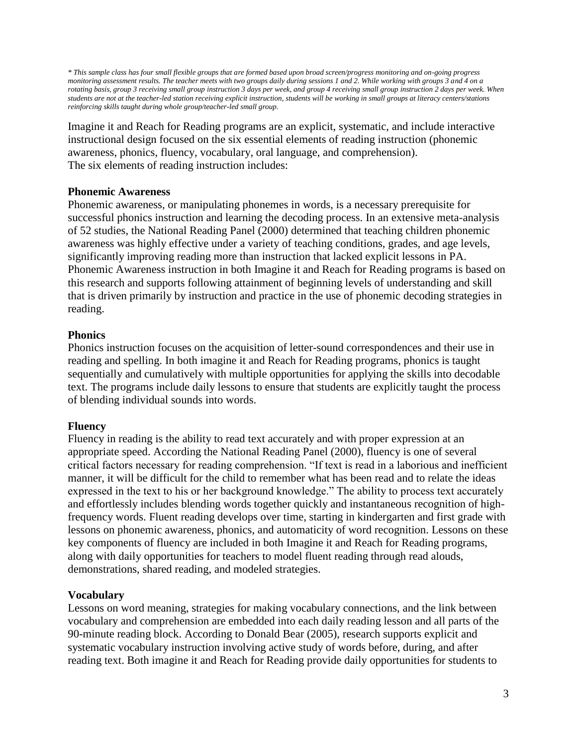*\* This sample class has four small flexible groups that are formed based upon broad screen/progress monitoring and on-going progress monitoring assessment results. The teacher meets with two groups daily during sessions 1 and 2. While working with groups 3 and 4 on a rotating basis, group 3 receiving small group instruction 3 days per week, and group 4 receiving small group instruction 2 days per week. When students are not at the teacher-led station receiving explicit instruction, students will be working in small groups at literacy centers/stations reinforcing skills taught during whole group/teacher-led small group.*

Imagine it and Reach for Reading programs are an explicit, systematic, and include interactive instructional design focused on the six essential elements of reading instruction (phonemic awareness, phonics, fluency, vocabulary, oral language, and comprehension). The six elements of reading instruction includes:

#### **Phonemic Awareness**

Phonemic awareness, or manipulating phonemes in words, is a necessary prerequisite for successful phonics instruction and learning the decoding process. In an extensive meta-analysis of 52 studies, the National Reading Panel (2000) determined that teaching children phonemic awareness was highly effective under a variety of teaching conditions, grades, and age levels, significantly improving reading more than instruction that lacked explicit lessons in PA. Phonemic Awareness instruction in both Imagine it and Reach for Reading programs is based on this research and supports following attainment of beginning levels of understanding and skill that is driven primarily by instruction and practice in the use of phonemic decoding strategies in reading.

#### **Phonics**

Phonics instruction focuses on the acquisition of letter-sound correspondences and their use in reading and spelling. In both imagine it and Reach for Reading programs, phonics is taught sequentially and cumulatively with multiple opportunities for applying the skills into decodable text. The programs include daily lessons to ensure that students are explicitly taught the process of blending individual sounds into words.

## **Fluency**

Fluency in reading is the ability to read text accurately and with proper expression at an appropriate speed. According the National Reading Panel (2000), fluency is one of several critical factors necessary for reading comprehension. "If text is read in a laborious and inefficient manner, it will be difficult for the child to remember what has been read and to relate the ideas expressed in the text to his or her background knowledge." The ability to process text accurately and effortlessly includes blending words together quickly and instantaneous recognition of highfrequency words. Fluent reading develops over time, starting in kindergarten and first grade with lessons on phonemic awareness, phonics, and automaticity of word recognition. Lessons on these key components of fluency are included in both Imagine it and Reach for Reading programs, along with daily opportunities for teachers to model fluent reading through read alouds, demonstrations, shared reading, and modeled strategies.

#### **Vocabulary**

Lessons on word meaning, strategies for making vocabulary connections, and the link between vocabulary and comprehension are embedded into each daily reading lesson and all parts of the 90-minute reading block. According to Donald Bear (2005), research supports explicit and systematic vocabulary instruction involving active study of words before, during, and after reading text. Both imagine it and Reach for Reading provide daily opportunities for students to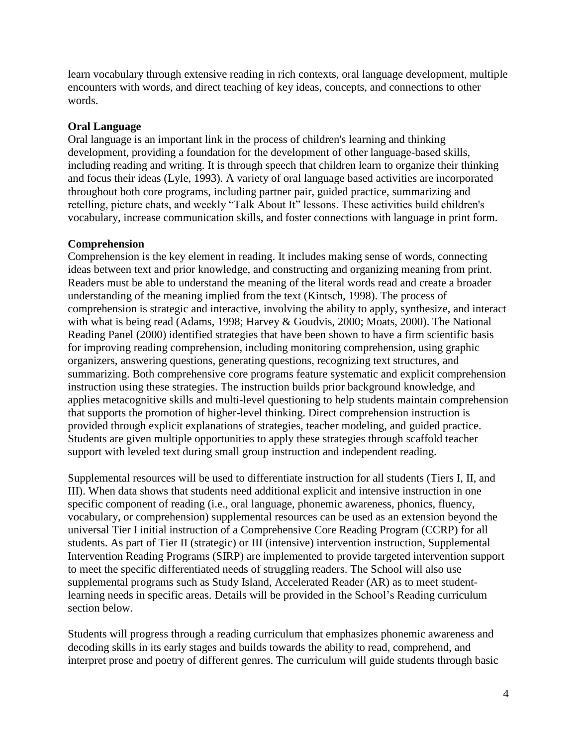learn vocabulary through extensive reading in rich contexts, oral language development, multiple encounters with words, and direct teaching of key ideas, concepts, and connections to other words.

# **Oral Language**

Oral language is an important link in the process of children's learning and thinking development, providing a foundation for the development of other language-based skills, including reading and writing. It is through speech that children learn to organize their thinking and focus their ideas (Lyle, 1993). A variety of oral language based activities are incorporated throughout both core programs, including partner pair, guided practice, summarizing and retelling, picture chats, and weekly "Talk About It" lessons. These activities build children's vocabulary, increase communication skills, and foster connections with language in print form.

## **Comprehension**

Comprehension is the key element in reading. It includes making sense of words, connecting ideas between text and prior knowledge, and constructing and organizing meaning from print. Readers must be able to understand the meaning of the literal words read and create a broader understanding of the meaning implied from the text (Kintsch, 1998). The process of comprehension is strategic and interactive, involving the ability to apply, synthesize, and interact with what is being read (Adams, 1998; Harvey & Goudvis, 2000; Moats, 2000). The National Reading Panel (2000) identified strategies that have been shown to have a firm scientific basis for improving reading comprehension, including monitoring comprehension, using graphic organizers, answering questions, generating questions, recognizing text structures, and summarizing. Both comprehensive core programs feature systematic and explicit comprehension instruction using these strategies. The instruction builds prior background knowledge, and applies metacognitive skills and multi-level questioning to help students maintain comprehension that supports the promotion of higher-level thinking. Direct comprehension instruction is provided through explicit explanations of strategies, teacher modeling, and guided practice. Students are given multiple opportunities to apply these strategies through scaffold teacher support with leveled text during small group instruction and independent reading.

Supplemental resources will be used to differentiate instruction for all students (Tiers I, II, and III). When data shows that students need additional explicit and intensive instruction in one specific component of reading (i.e., oral language, phonemic awareness, phonics, fluency, vocabulary, or comprehension) supplemental resources can be used as an extension beyond the universal Tier I initial instruction of a Comprehensive Core Reading Program (CCRP) for all students. As part of Tier II (strategic) or III (intensive) intervention instruction, Supplemental Intervention Reading Programs (SIRP) are implemented to provide targeted intervention support to meet the specific differentiated needs of struggling readers. The School will also use supplemental programs such as Study Island, Accelerated Reader (AR) as to meet studentlearning needs in specific areas. Details will be provided in the School's Reading curriculum section below.

Students will progress through a reading curriculum that emphasizes phonemic awareness and decoding skills in its early stages and builds towards the ability to read, comprehend, and interpret prose and poetry of different genres. The curriculum will guide students through basic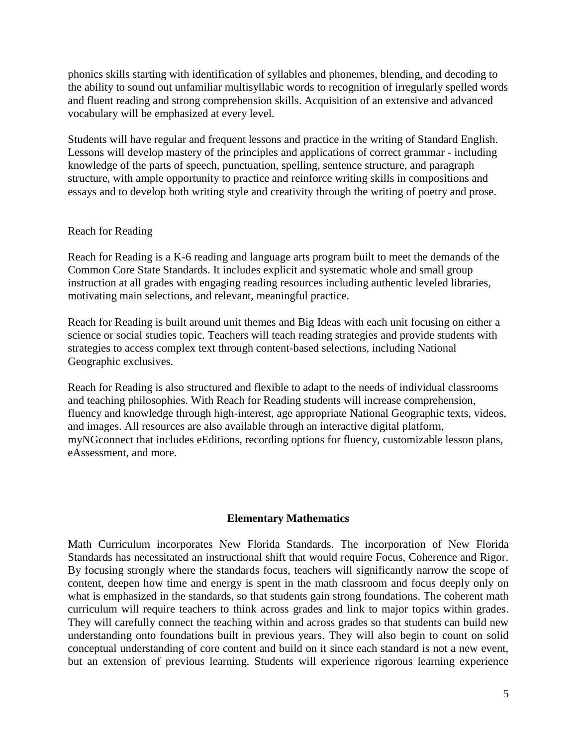phonics skills starting with identification of syllables and phonemes, blending, and decoding to the ability to sound out unfamiliar multisyllabic words to recognition of irregularly spelled words and fluent reading and strong comprehension skills. Acquisition of an extensive and advanced vocabulary will be emphasized at every level.

Students will have regular and frequent lessons and practice in the writing of Standard English. Lessons will develop mastery of the principles and applications of correct grammar - including knowledge of the parts of speech, punctuation, spelling, sentence structure, and paragraph structure, with ample opportunity to practice and reinforce writing skills in compositions and essays and to develop both writing style and creativity through the writing of poetry and prose.

#### Reach for Reading

Reach for Reading is a K-6 reading and language arts program built to meet the demands of the Common Core State Standards. It includes explicit and systematic whole and small group instruction at all grades with engaging reading resources including authentic leveled libraries, motivating main selections, and relevant, meaningful practice.

Reach for Reading is built around unit themes and Big Ideas with each unit focusing on either a science or social studies topic. Teachers will teach reading strategies and provide students with strategies to access complex text through content-based selections, including National Geographic exclusives.

Reach for Reading is also structured and flexible to adapt to the needs of individual classrooms and teaching philosophies. With Reach for Reading students will increase comprehension, fluency and knowledge through high-interest, age appropriate National Geographic texts, videos, and images. All resources are also available through an interactive digital platform, myNGconnect that includes eEditions, recording options for fluency, customizable lesson plans, eAssessment, and more.

## **Elementary Mathematics**

Math Curriculum incorporates New Florida Standards. The incorporation of New Florida Standards has necessitated an instructional shift that would require Focus, Coherence and Rigor. By focusing strongly where the standards focus, teachers will significantly narrow the scope of content, deepen how time and energy is spent in the math classroom and focus deeply only on what is emphasized in the standards, so that students gain strong foundations. The coherent math curriculum will require teachers to think across grades and link to major topics within grades. They will carefully connect the teaching within and across grades so that students can build new understanding onto foundations built in previous years. They will also begin to count on solid conceptual understanding of core content and build on it since each standard is not a new event, but an extension of previous learning. Students will experience rigorous learning experience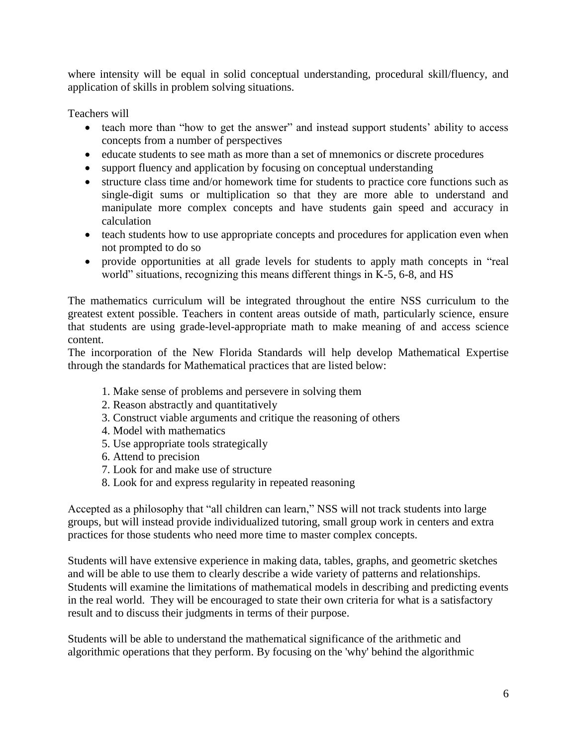where intensity will be equal in solid conceptual understanding, procedural skill/fluency, and application of skills in problem solving situations.

Teachers will

- teach more than "how to get the answer" and instead support students' ability to access concepts from a number of perspectives
- educate students to see math as more than a set of mnemonics or discrete procedures
- support fluency and application by focusing on conceptual understanding
- structure class time and/or homework time for students to practice core functions such as single-digit sums or multiplication so that they are more able to understand and manipulate more complex concepts and have students gain speed and accuracy in calculation
- teach students how to use appropriate concepts and procedures for application even when not prompted to do so
- provide opportunities at all grade levels for students to apply math concepts in "real world" situations, recognizing this means different things in K-5, 6-8, and HS

The mathematics curriculum will be integrated throughout the entire NSS curriculum to the greatest extent possible. Teachers in content areas outside of math, particularly science, ensure that students are using grade-level-appropriate math to make meaning of and access science content.

The incorporation of the New Florida Standards will help develop Mathematical Expertise through the standards for Mathematical practices that are listed below:

- 1. Make sense of problems and persevere in solving them
- 2. Reason abstractly and quantitatively
- 3. Construct viable arguments and critique the reasoning of others
- 4. Model with mathematics
- 5. Use appropriate tools strategically
- 6. Attend to precision
- 7. Look for and make use of structure
- 8. Look for and express regularity in repeated reasoning

Accepted as a philosophy that "all children can learn," NSS will not track students into large groups, but will instead provide individualized tutoring, small group work in centers and extra practices for those students who need more time to master complex concepts.

Students will have extensive experience in making data, tables, graphs, and geometric sketches and will be able to use them to clearly describe a wide variety of patterns and relationships. Students will examine the limitations of mathematical models in describing and predicting events in the real world. They will be encouraged to state their own criteria for what is a satisfactory result and to discuss their judgments in terms of their purpose.

Students will be able to understand the mathematical significance of the arithmetic and algorithmic operations that they perform. By focusing on the 'why' behind the algorithmic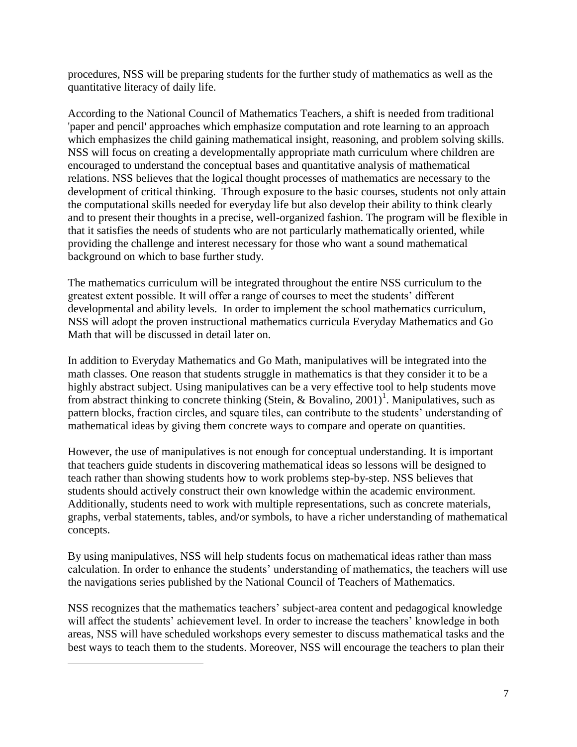procedures, NSS will be preparing students for the further study of mathematics as well as the quantitative literacy of daily life.

According to the National Council of Mathematics Teachers, a shift is needed from traditional 'paper and pencil' approaches which emphasize computation and rote learning to an approach which emphasizes the child gaining mathematical insight, reasoning, and problem solving skills. NSS will focus on creating a developmentally appropriate math curriculum where children are encouraged to understand the conceptual bases and quantitative analysis of mathematical relations. NSS believes that the logical thought processes of mathematics are necessary to the development of critical thinking. Through exposure to the basic courses, students not only attain the computational skills needed for everyday life but also develop their ability to think clearly and to present their thoughts in a precise, well-organized fashion. The program will be flexible in that it satisfies the needs of students who are not particularly mathematically oriented, while providing the challenge and interest necessary for those who want a sound mathematical background on which to base further study.

The mathematics curriculum will be integrated throughout the entire NSS curriculum to the greatest extent possible. It will offer a range of courses to meet the students' different developmental and ability levels. In order to implement the school mathematics curriculum, NSS will adopt the proven instructional mathematics curricula Everyday Mathematics and Go Math that will be discussed in detail later on.

In addition to Everyday Mathematics and Go Math, manipulatives will be integrated into the math classes. One reason that students struggle in mathematics is that they consider it to be a highly abstract subject. Using manipulatives can be a very effective tool to help students move from abstract thinking to concrete thinking (Stein, & Bovalino, 2001)<sup>1</sup>. Manipulatives, such as pattern blocks, fraction circles, and square tiles, can contribute to the students' understanding of mathematical ideas by giving them concrete ways to compare and operate on quantities.

However, the use of manipulatives is not enough for conceptual understanding. It is important that teachers guide students in discovering mathematical ideas so lessons will be designed to teach rather than showing students how to work problems step-by-step. NSS believes that students should actively construct their own knowledge within the academic environment. Additionally, students need to work with multiple representations, such as concrete materials, graphs, verbal statements, tables, and/or symbols, to have a richer understanding of mathematical concepts.

By using manipulatives, NSS will help students focus on mathematical ideas rather than mass calculation. In order to enhance the students' understanding of mathematics, the teachers will use the navigations series published by the National Council of Teachers of Mathematics.

NSS recognizes that the mathematics teachers' subject-area content and pedagogical knowledge will affect the students' achievement level. In order to increase the teachers' knowledge in both areas, NSS will have scheduled workshops every semester to discuss mathematical tasks and the best ways to teach them to the students. Moreover, NSS will encourage the teachers to plan their

 $\overline{a}$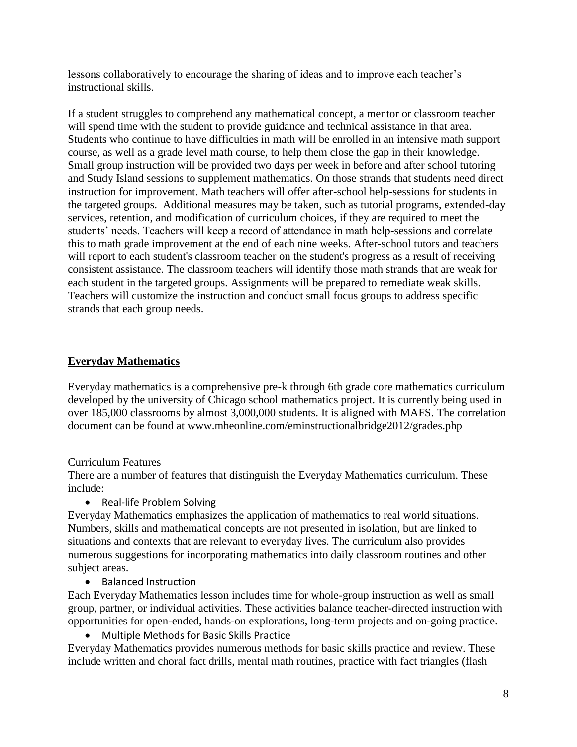lessons collaboratively to encourage the sharing of ideas and to improve each teacher's instructional skills.

If a student struggles to comprehend any mathematical concept, a mentor or classroom teacher will spend time with the student to provide guidance and technical assistance in that area. Students who continue to have difficulties in math will be enrolled in an intensive math support course, as well as a grade level math course, to help them close the gap in their knowledge. Small group instruction will be provided two days per week in before and after school tutoring and Study Island sessions to supplement mathematics. On those strands that students need direct instruction for improvement. Math teachers will offer after-school help-sessions for students in the targeted groups. Additional measures may be taken, such as tutorial programs, extended-day services, retention, and modification of curriculum choices, if they are required to meet the students' needs. Teachers will keep a record of attendance in math help-sessions and correlate this to math grade improvement at the end of each nine weeks. After-school tutors and teachers will report to each student's classroom teacher on the student's progress as a result of receiving consistent assistance. The classroom teachers will identify those math strands that are weak for each student in the targeted groups. Assignments will be prepared to remediate weak skills. Teachers will customize the instruction and conduct small focus groups to address specific strands that each group needs.

# **Everyday Mathematics**

Everyday mathematics is a comprehensive pre-k through 6th grade core mathematics curriculum developed by the university of Chicago school mathematics project. It is currently being used in over 185,000 classrooms by almost 3,000,000 students. It is aligned with MAFS. The correlation document can be found at www.mheonline.com/eminstructionalbridge2012/grades.php

## Curriculum Features

There are a number of features that distinguish the Everyday Mathematics curriculum. These include:

• Real-life Problem Solving

Everyday Mathematics emphasizes the application of mathematics to real world situations. Numbers, skills and mathematical concepts are not presented in isolation, but are linked to situations and contexts that are relevant to everyday lives. The curriculum also provides numerous suggestions for incorporating mathematics into daily classroom routines and other subject areas.

• Balanced Instruction

Each Everyday Mathematics lesson includes time for whole-group instruction as well as small group, partner, or individual activities. These activities balance teacher-directed instruction with opportunities for open-ended, hands-on explorations, long-term projects and on-going practice.

Multiple Methods for Basic Skills Practice

Everyday Mathematics provides numerous methods for basic skills practice and review. These include written and choral fact drills, mental math routines, practice with fact triangles (flash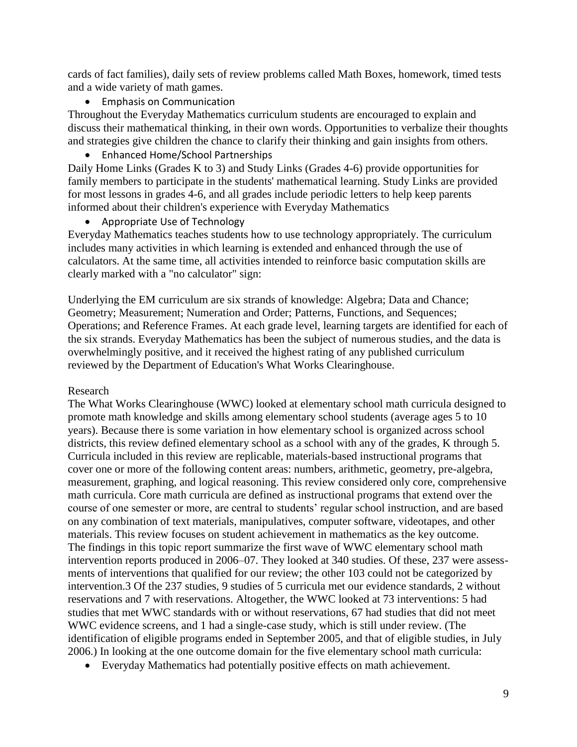cards of fact families), daily sets of review problems called Math Boxes, homework, timed tests and a wide variety of math games.

**•** Emphasis on Communication

Throughout the Everyday Mathematics curriculum students are encouraged to explain and discuss their mathematical thinking, in their own words. Opportunities to verbalize their thoughts and strategies give children the chance to clarify their thinking and gain insights from others.

Enhanced Home/School Partnerships

Daily Home Links (Grades K to 3) and Study Links (Grades 4-6) provide opportunities for family members to participate in the students' mathematical learning. Study Links are provided for most lessons in grades 4-6, and all grades include periodic letters to help keep parents informed about their children's experience with Everyday Mathematics

Appropriate Use of Technology

Everyday Mathematics teaches students how to use technology appropriately. The curriculum includes many activities in which learning is extended and enhanced through the use of calculators. At the same time, all activities intended to reinforce basic computation skills are clearly marked with a "no calculator" sign:

Underlying the EM curriculum are six strands of knowledge: Algebra; Data and Chance; Geometry; Measurement; Numeration and Order; Patterns, Functions, and Sequences; Operations; and Reference Frames. At each grade level, learning targets are identified for each of the six strands. Everyday Mathematics has been the subject of numerous studies, and the data is overwhelmingly positive, and it received the highest rating of any published curriculum reviewed by the Department of Education's What Works Clearinghouse.

#### Research

The What Works Clearinghouse (WWC) looked at elementary school math curricula designed to promote math knowledge and skills among elementary school students (average ages 5 to 10 years). Because there is some variation in how elementary school is organized across school districts, this review defined elementary school as a school with any of the grades, K through 5. Curricula included in this review are replicable, materials-based instructional programs that cover one or more of the following content areas: numbers, arithmetic, geometry, pre-algebra, measurement, graphing, and logical reasoning. This review considered only core, comprehensive math curricula. Core math curricula are defined as instructional programs that extend over the course of one semester or more, are central to students' regular school instruction, and are based on any combination of text materials, manipulatives, computer software, videotapes, and other materials. This review focuses on student achievement in mathematics as the key outcome. The findings in this topic report summarize the first wave of WWC elementary school math intervention reports produced in 2006–07. They looked at 340 studies. Of these, 237 were assessments of interventions that qualified for our review; the other 103 could not be categorized by intervention.3 Of the 237 studies, 9 studies of 5 curricula met our evidence standards, 2 without reservations and 7 with reservations. Altogether, the WWC looked at 73 interventions: 5 had studies that met WWC standards with or without reservations, 67 had studies that did not meet WWC evidence screens, and 1 had a single-case study, which is still under review. (The identification of eligible programs ended in September 2005, and that of eligible studies, in July 2006.) In looking at the one outcome domain for the five elementary school math curricula:

Everyday Mathematics had potentially positive effects on math achievement.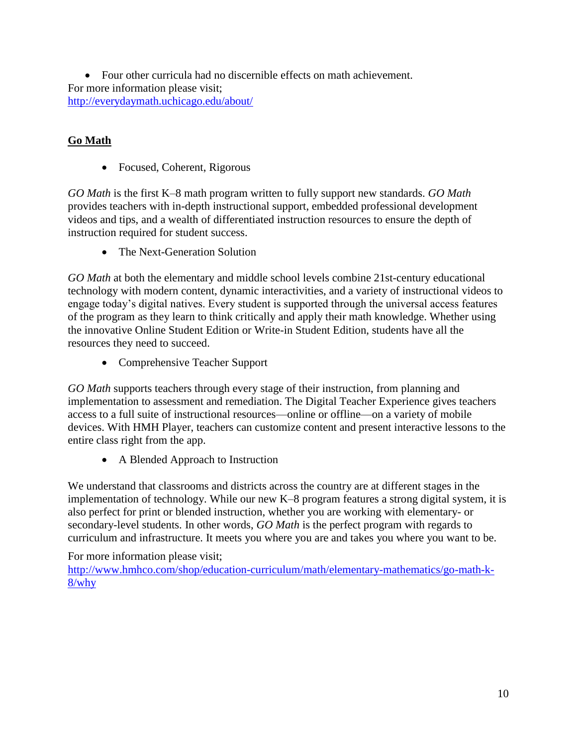Four other curricula had no discernible effects on math achievement. For more information please visit; <http://everydaymath.uchicago.edu/about/>

# **Go Math**

• Focused, Coherent, Rigorous

*GO Math* is the first K–8 math program written to fully support new standards. *GO Math* provides teachers with [in-depth instructional support,](http://www.hmhco.com/shop/education-curriculum/math/elementary-mathematics/go-math-k-8/professional-development) embedded professional development videos and tips, and a wealth of differentiated instruction resources to ensure the depth of instruction required for student success.

• The Next-Generation Solution

*GO Math* at both the [elementary](http://www.hmhco.com/shop/education-curriculum/math/elementary-mathematics/go-math-k-8/features-k-6/digital-resources-k-6) and [middle school](http://www.hmhco.com/shop/education-curriculum/math/elementary-mathematics/go-math-k-8/features-6-8/digital-resources-6-8) levels combine 21st-century educational technology with modern content, dynamic interactivities, and a variety of instructional videos to engage today's digital natives. Every student is supported through the universal access features of the program as they learn to think critically and apply their math knowledge. Whether using the innovative Online Student Edition or Write-in Student Edition, students have all the resources they need to succeed.

Comprehensive Teacher Support

*GO Math* supports teachers through every stage of their instruction, from planning and implementation to assessment and remediation. The Digital Teacher Experience gives teachers access to a full suite of instructional resources—online or offline—on a variety of mobile devices. With [HMH Player,](http://www.hmhco.com/shop/education-curriculum/math/elementary-mathematics/go-math-k-8/features-k-6/hmh-player-k-6) teachers can customize content and present interactive lessons to the entire class right from the app.

• A Blended Approach to Instruction

We understand that classrooms and districts across the country are at different stages in the implementation of technology. While our new K–8 program features a strong digital system, it is also perfect for print or blended instruction, whether you are working with [elementary-](http://www.hmhco.com/shop/education-curriculum/math/elementary-mathematics/go-math-k-8/features-k-6/assessment-and-intervention-k-6) or [secondary-level](http://www.hmhco.com/shop/education-curriculum/math/elementary-mathematics/go-math-k-8/features-6-8/assessment-and-intervention-6-8) students. In other words, *GO Math* is the perfect program with regards to curriculum and infrastructure. It meets you where you are and takes you where you want to be.

# For more information please visit;

[http://www.hmhco.com/shop/education-curriculum/math/elementary-mathematics/go-math-k-](http://www.hmhco.com/shop/education-curriculum/math/elementary-mathematics/go-math-k-8/why)[8/why](http://www.hmhco.com/shop/education-curriculum/math/elementary-mathematics/go-math-k-8/why)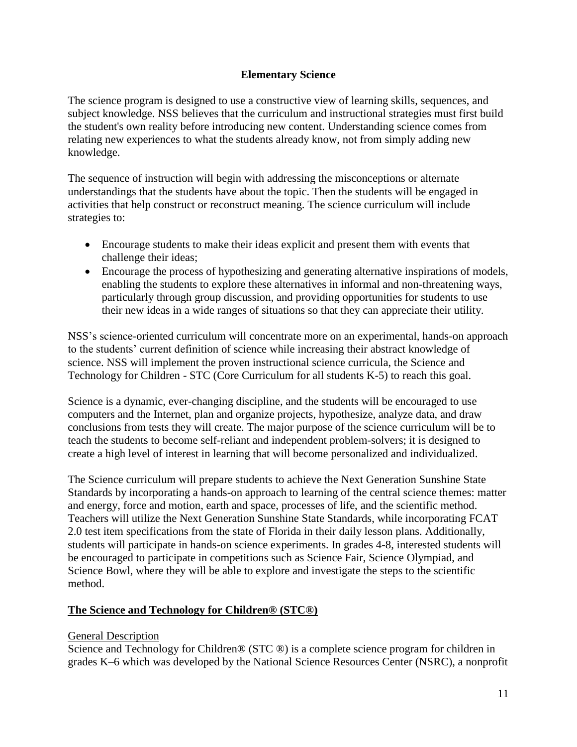#### **Elementary Science**

The science program is designed to use a constructive view of learning skills, sequences, and subject knowledge. NSS believes that the curriculum and instructional strategies must first build the student's own reality before introducing new content. Understanding science comes from relating new experiences to what the students already know, not from simply adding new knowledge.

The sequence of instruction will begin with addressing the misconceptions or alternate understandings that the students have about the topic. Then the students will be engaged in activities that help construct or reconstruct meaning. The science curriculum will include strategies to:

- Encourage students to make their ideas explicit and present them with events that challenge their ideas;
- Encourage the process of hypothesizing and generating alternative inspirations of models, enabling the students to explore these alternatives in informal and non-threatening ways, particularly through group discussion, and providing opportunities for students to use their new ideas in a wide ranges of situations so that they can appreciate their utility.

NSS's science-oriented curriculum will concentrate more on an experimental, hands-on approach to the students' current definition of science while increasing their abstract knowledge of science. NSS will implement the proven instructional science curricula, the Science and Technology for Children - STC (Core Curriculum for all students K-5) to reach this goal.

Science is a dynamic, ever-changing discipline, and the students will be encouraged to use computers and the Internet, plan and organize projects, hypothesize, analyze data, and draw conclusions from tests they will create. The major purpose of the science curriculum will be to teach the students to become self-reliant and independent problem-solvers; it is designed to create a high level of interest in learning that will become personalized and individualized.

The Science curriculum will prepare students to achieve the Next Generation Sunshine State Standards by incorporating a hands-on approach to learning of the central science themes: matter and energy, force and motion, earth and space, processes of life, and the scientific method. Teachers will utilize the Next Generation Sunshine State Standards, while incorporating FCAT 2.0 test item specifications from the state of Florida in their daily lesson plans. Additionally, students will participate in hands-on science experiments. In grades 4-8, interested students will be encouraged to participate in competitions such as Science Fair, Science Olympiad, and Science Bowl, where they will be able to explore and investigate the steps to the scientific method.

## **The Science and Technology for Children® (STC®)**

## General Description

Science and Technology for Children® (STC ®) is a complete science program for children in grades K–6 which was developed by the National Science Resources Center (NSRC), a nonprofit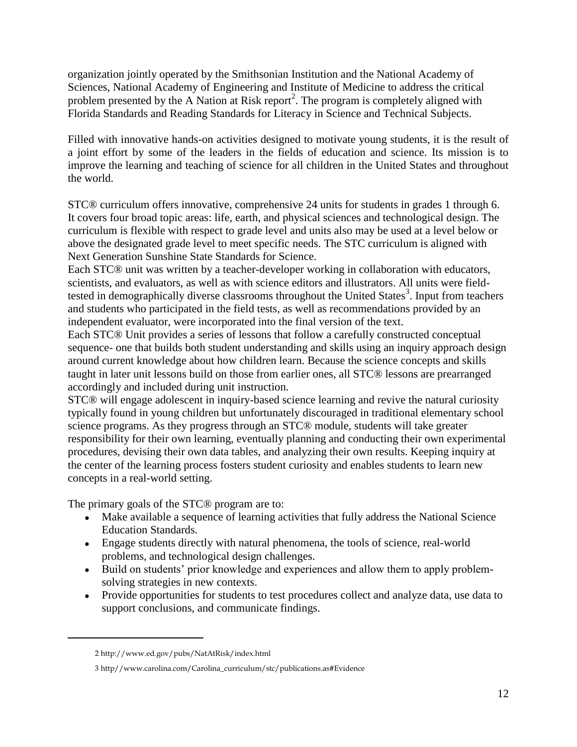organization jointly operated by the Smithsonian Institution and the National Academy of Sciences, National Academy of Engineering and Institute of Medicine to address the critical problem presented by the  $\overrightarrow{A}$  Nation at Risk report<sup>2</sup>. The program is completely aligned with Florida Standards and Reading Standards for Literacy in Science and Technical Subjects.

Filled with innovative hands-on activities designed to motivate young students, it is the result of a joint effort by some of the leaders in the fields of education and science. Its mission is to improve the learning and teaching of science for all children in the United States and throughout the world.

STC® curriculum offers innovative, comprehensive 24 units for students in grades 1 through 6. It covers four broad topic areas: life, earth, and physical sciences and technological design. The curriculum is flexible with respect to grade level and units also may be used at a level below or above the designated grade level to meet specific needs. The STC curriculum is aligned with Next Generation Sunshine State Standards for Science.

Each STC® unit was written by a teacher-developer working in collaboration with educators, scientists, and evaluators, as well as with science editors and illustrators. All units were fieldtested in demographically diverse classrooms throughout the United States<sup>3</sup>. Input from teachers and students who participated in the field tests, as well as recommendations provided by an independent evaluator, were incorporated into the final version of the text.

Each STC® Unit provides a series of lessons that follow a carefully constructed conceptual sequence- one that builds both student understanding and skills using an inquiry approach design around current knowledge about how children learn. Because the science concepts and skills taught in later unit lessons build on those from earlier ones, all STC® lessons are prearranged accordingly and included during unit instruction.

STC® will engage adolescent in inquiry-based science learning and revive the natural curiosity typically found in young children but unfortunately discouraged in traditional elementary school science programs. As they progress through an STC® module, students will take greater responsibility for their own learning, eventually planning and conducting their own experimental procedures, devising their own data tables, and analyzing their own results. Keeping inquiry at the center of the learning process fosters student curiosity and enables students to learn new concepts in a real-world setting.

The primary goals of the STC® program are to:

- Make available a sequence of learning activities that fully address the National Science Education Standards.
- Engage students directly with natural phenomena, the tools of science, real-world problems, and technological design challenges.
- Build on students' prior knowledge and experiences and allow them to apply problemsolving strategies in new contexts.
- Provide opportunities for students to test procedures collect and analyze data, use data to support conclusions, and communicate findings.

 $\overline{a}$ 

<sup>2</sup> http://www.ed.gov/pubs/NatAtRisk/index.html

<sup>3</sup> http//www.carolina.com/Carolina\_curriculum/stc/publications.as#Evidence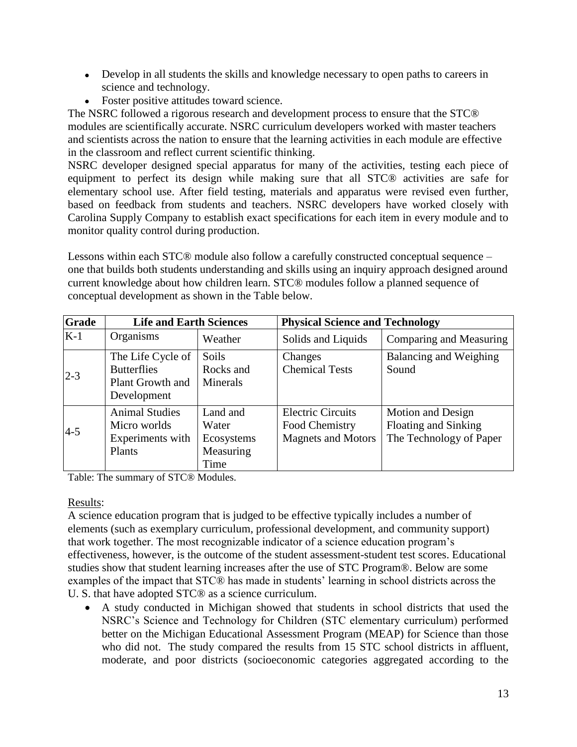- Develop in all students the skills and knowledge necessary to open paths to careers in science and technology.
- Foster positive attitudes toward science.

The NSRC followed a rigorous research and development process to ensure that the STC® modules are scientifically accurate. NSRC curriculum developers worked with master teachers and scientists across the nation to ensure that the learning activities in each module are effective in the classroom and reflect current scientific thinking.

NSRC developer designed special apparatus for many of the activities, testing each piece of equipment to perfect its design while making sure that all STC® activities are safe for elementary school use. After field testing, materials and apparatus were revised even further, based on feedback from students and teachers. NSRC developers have worked closely with Carolina Supply Company to establish exact specifications for each item in every module and to monitor quality control during production.

Lessons within each STC® module also follow a carefully constructed conceptual sequence – one that builds both students understanding and skills using an inquiry approach designed around current knowledge about how children learn. STC® modules follow a planned sequence of conceptual development as shown in the Table below.

| Grade   | <b>Life and Earth Sciences</b>                                             |                                                      | <b>Physical Science and Technology</b>                                  |                                                                      |
|---------|----------------------------------------------------------------------------|------------------------------------------------------|-------------------------------------------------------------------------|----------------------------------------------------------------------|
| $K-1$   | Organisms                                                                  | Weather                                              | Solids and Liquids                                                      | Comparing and Measuring                                              |
| $2 - 3$ | The Life Cycle of<br><b>Butterflies</b><br>Plant Growth and<br>Development | Soils<br>Rocks and<br>Minerals                       | Changes<br><b>Chemical Tests</b>                                        | <b>Balancing and Weighing</b><br>Sound                               |
| $4 - 5$ | <b>Animal Studies</b><br>Micro worlds<br>Experiments with<br>Plants        | Land and<br>Water<br>Ecosystems<br>Measuring<br>Time | <b>Electric Circuits</b><br>Food Chemistry<br><b>Magnets and Motors</b> | Motion and Design<br>Floating and Sinking<br>The Technology of Paper |

Table: The summary of STC® Modules.

## Results:

A science education program that is judged to be effective typically includes a number of elements (such as exemplary curriculum, professional development, and community support) that work together. The most recognizable indicator of a science education program's effectiveness, however, is the outcome of the student assessment-student test scores. Educational studies show that student learning increases after the use of STC Program®. Below are some examples of the impact that STC® has made in students' learning in school districts across the U. S. that have adopted STC® as a science curriculum.

 A study conducted in Michigan showed that students in school districts that used the NSRC's Science and Technology for Children (STC elementary curriculum) performed better on the Michigan Educational Assessment Program (MEAP) for Science than those who did not. The study compared the results from 15 STC school districts in affluent, moderate, and poor districts (socioeconomic categories aggregated according to the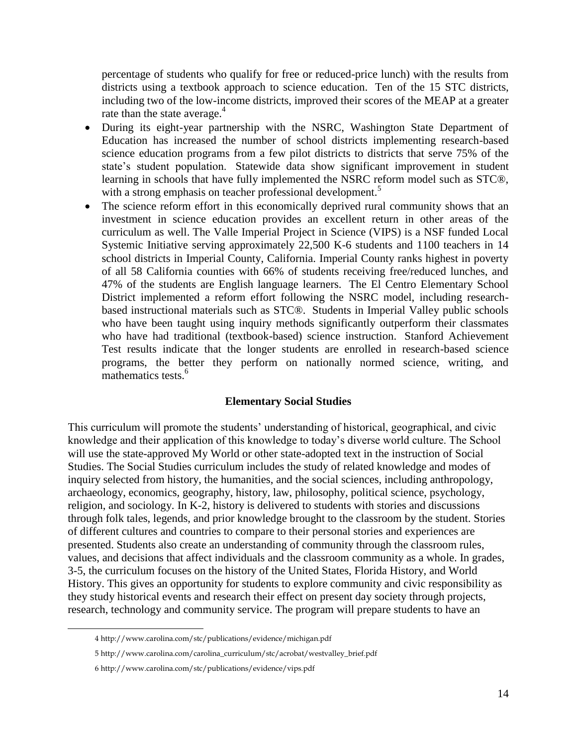percentage of students who qualify for free or reduced-price lunch) with the results from districts using a textbook approach to science education. Ten of the 15 STC districts, including two of the low-income districts, improved their scores of the MEAP at a greater rate than the state average.<sup>4</sup>

- During its eight-year partnership with the NSRC, Washington State Department of Education has increased the number of school districts implementing research-based science education programs from a few pilot districts to districts that serve 75% of the state's student population. Statewide data show significant improvement in student learning in schools that have fully implemented the NSRC reform model such as STC®, with a strong emphasis on teacher professional development.<sup>5</sup>
- The science reform effort in this economically deprived rural community shows that an investment in science education provides an excellent return in other areas of the curriculum as well. The Valle Imperial Project in Science (VIPS) is a NSF funded Local Systemic Initiative serving approximately 22,500 K-6 students and 1100 teachers in 14 school districts in Imperial County, California. Imperial County ranks highest in poverty of all 58 California counties with 66% of students receiving free/reduced lunches, and 47% of the students are English language learners. The El Centro Elementary School District implemented a reform effort following the NSRC model, including researchbased instructional materials such as STC®. Students in Imperial Valley public schools who have been taught using inquiry methods significantly outperform their classmates who have had traditional (textbook-based) science instruction. Stanford Achievement Test results indicate that the longer students are enrolled in research-based science programs, the better they perform on nationally normed science, writing, and mathematics tests.<sup>6</sup>

## **Elementary Social Studies**

This curriculum will promote the students' understanding of historical, geographical, and civic knowledge and their application of this knowledge to today's diverse world culture. The School will use the state-approved My World or other state-adopted text in the instruction of Social Studies. The Social Studies curriculum includes the study of related knowledge and modes of inquiry selected from history, the humanities, and the social sciences, including anthropology, archaeology, economics, geography, history, law, philosophy, political science, psychology, religion, and sociology. In K-2, history is delivered to students with stories and discussions through folk tales, legends, and prior knowledge brought to the classroom by the student. Stories of different cultures and countries to compare to their personal stories and experiences are presented. Students also create an understanding of community through the classroom rules, values, and decisions that affect individuals and the classroom community as a whole. In grades, 3-5, the curriculum focuses on the history of the United States, Florida History, and World History. This gives an opportunity for students to explore community and civic responsibility as they study historical events and research their effect on present day society through projects, research, technology and community service. The program will prepare students to have an

 $\overline{a}$ 

<sup>4</sup> http://www.carolina.com/stc/publications/evidence/michigan.pdf

<sup>5</sup> http://www.carolina.com/carolina\_curriculum/stc/acrobat/westvalley\_brief.pdf

<sup>6</sup> http://www.carolina.com/stc/publications/evidence/vips.pdf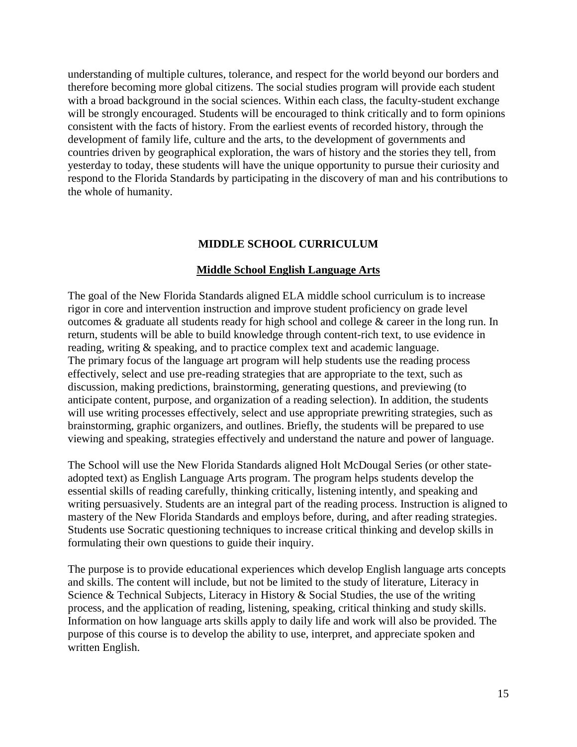understanding of multiple cultures, tolerance, and respect for the world beyond our borders and therefore becoming more global citizens. The social studies program will provide each student with a broad background in the social sciences. Within each class, the faculty-student exchange will be strongly encouraged. Students will be encouraged to think critically and to form opinions consistent with the facts of history. From the earliest events of recorded history, through the development of family life, culture and the arts, to the development of governments and countries driven by geographical exploration, the wars of history and the stories they tell, from yesterday to today, these students will have the unique opportunity to pursue their curiosity and respond to the Florida Standards by participating in the discovery of man and his contributions to the whole of humanity.

#### **MIDDLE SCHOOL CURRICULUM**

#### **Middle School English Language Arts**

The goal of the New Florida Standards aligned ELA middle school curriculum is to increase rigor in core and intervention instruction and improve student proficiency on grade level outcomes & graduate all students ready for high school and college & career in the long run. In return, students will be able to build knowledge through content-rich text, to use evidence in reading, writing & speaking, and to practice complex text and academic language. The primary focus of the language art program will help students use the reading process effectively, select and use pre-reading strategies that are appropriate to the text, such as discussion, making predictions, brainstorming, generating questions, and previewing (to anticipate content, purpose, and organization of a reading selection). In addition, the students will use writing processes effectively, select and use appropriate prewriting strategies, such as brainstorming, graphic organizers, and outlines. Briefly, the students will be prepared to use viewing and speaking, strategies effectively and understand the nature and power of language.

The School will use the New Florida Standards aligned Holt McDougal Series (or other stateadopted text) as English Language Arts program. The program helps students develop the essential skills of reading carefully, thinking critically, listening intently, and speaking and writing persuasively. Students are an integral part of the reading process. Instruction is aligned to mastery of the New Florida Standards and employs before, during, and after reading strategies. Students use Socratic questioning techniques to increase critical thinking and develop skills in formulating their own questions to guide their inquiry.

The purpose is to provide educational experiences which develop English language arts concepts and skills. The content will include, but not be limited to the study of literature, Literacy in Science & Technical Subjects, Literacy in History & Social Studies, the use of the writing process, and the application of reading, listening, speaking, critical thinking and study skills. Information on how language arts skills apply to daily life and work will also be provided. The purpose of this course is to develop the ability to use, interpret, and appreciate spoken and written English.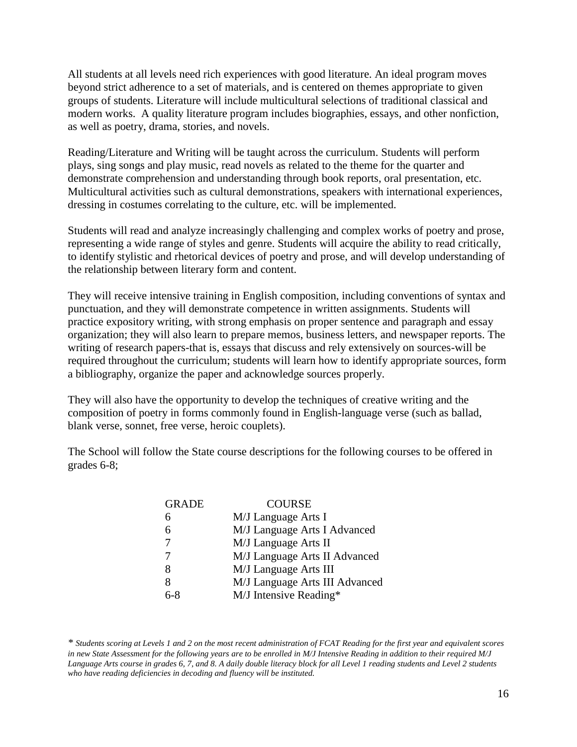All students at all levels need rich experiences with good literature. An ideal program moves beyond strict adherence to a set of materials, and is centered on themes appropriate to given groups of students. Literature will include multicultural selections of traditional classical and modern works. A quality literature program includes biographies, essays, and other nonfiction, as well as poetry, drama, stories, and novels.

Reading/Literature and Writing will be taught across the curriculum. Students will perform plays, sing songs and play music, read novels as related to the theme for the quarter and demonstrate comprehension and understanding through book reports, oral presentation, etc. Multicultural activities such as cultural demonstrations, speakers with international experiences, dressing in costumes correlating to the culture, etc. will be implemented.

Students will read and analyze increasingly challenging and complex works of poetry and prose, representing a wide range of styles and genre. Students will acquire the ability to read critically, to identify stylistic and rhetorical devices of poetry and prose, and will develop understanding of the relationship between literary form and content.

They will receive intensive training in English composition, including conventions of syntax and punctuation, and they will demonstrate competence in written assignments. Students will practice expository writing, with strong emphasis on proper sentence and paragraph and essay organization; they will also learn to prepare memos, business letters, and newspaper reports. The writing of research papers-that is, essays that discuss and rely extensively on sources-will be required throughout the curriculum; students will learn how to identify appropriate sources, form a bibliography, organize the paper and acknowledge sources properly.

They will also have the opportunity to develop the techniques of creative writing and the composition of poetry in forms commonly found in English-language verse (such as ballad, blank verse, sonnet, free verse, heroic couplets).

The School will follow the State course descriptions for the following courses to be offered in grades 6-8;

| <b>COURSE</b>                  |
|--------------------------------|
| M/J Language Arts I            |
| M/J Language Arts I Advanced   |
| M/J Language Arts II           |
| M/J Language Arts II Advanced  |
| M/J Language Arts III          |
| M/J Language Arts III Advanced |
| M/J Intensive Reading*         |
|                                |

*<sup>\*</sup> Students scoring at Levels 1 and 2 on the most recent administration of FCAT Reading for the first year and equivalent scores in new State Assessment for the following years are to be enrolled in M/J Intensive Reading in addition to their required M/J Language Arts course in grades 6, 7, and 8. A daily double literacy block for all Level 1 reading students and Level 2 students who have reading deficiencies in decoding and fluency will be instituted.*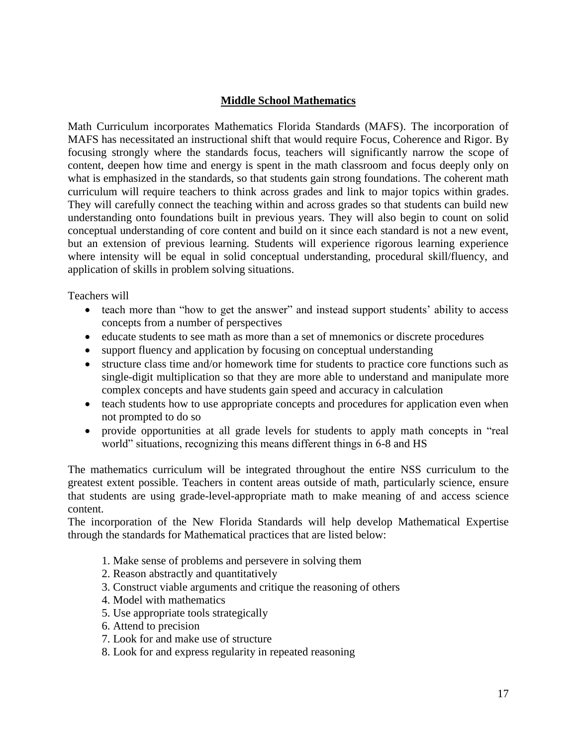## **Middle School Mathematics**

Math Curriculum incorporates Mathematics Florida Standards (MAFS). The incorporation of MAFS has necessitated an instructional shift that would require Focus, Coherence and Rigor. By focusing strongly where the standards focus, teachers will significantly narrow the scope of content, deepen how time and energy is spent in the math classroom and focus deeply only on what is emphasized in the standards, so that students gain strong foundations. The coherent math curriculum will require teachers to think across grades and link to major topics within grades. They will carefully connect the teaching within and across grades so that students can build new understanding onto foundations built in previous years. They will also begin to count on solid conceptual understanding of core content and build on it since each standard is not a new event, but an extension of previous learning. Students will experience rigorous learning experience where intensity will be equal in solid conceptual understanding, procedural skill/fluency, and application of skills in problem solving situations.

Teachers will

- teach more than "how to get the answer" and instead support students' ability to access concepts from a number of perspectives
- educate students to see math as more than a set of mnemonics or discrete procedures
- support fluency and application by focusing on conceptual understanding
- structure class time and/or homework time for students to practice core functions such as single-digit multiplication so that they are more able to understand and manipulate more complex concepts and have students gain speed and accuracy in calculation
- teach students how to use appropriate concepts and procedures for application even when not prompted to do so
- provide opportunities at all grade levels for students to apply math concepts in "real world" situations, recognizing this means different things in 6-8 and HS

The mathematics curriculum will be integrated throughout the entire NSS curriculum to the greatest extent possible. Teachers in content areas outside of math, particularly science, ensure that students are using grade-level-appropriate math to make meaning of and access science content.

The incorporation of the New Florida Standards will help develop Mathematical Expertise through the standards for Mathematical practices that are listed below:

- 1. Make sense of problems and persevere in solving them
- 2. Reason abstractly and quantitatively
- 3. Construct viable arguments and critique the reasoning of others
- 4. Model with mathematics
- 5. Use appropriate tools strategically
- 6. Attend to precision
- 7. Look for and make use of structure
- 8. Look for and express regularity in repeated reasoning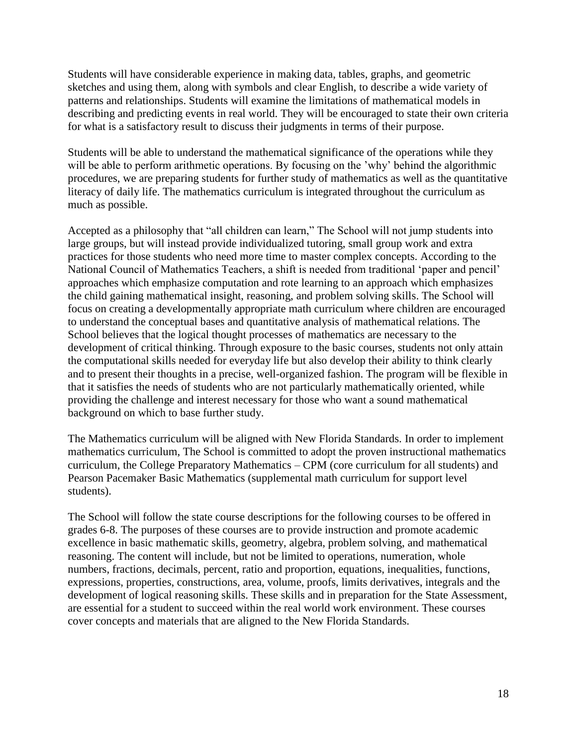Students will have considerable experience in making data, tables, graphs, and geometric sketches and using them, along with symbols and clear English, to describe a wide variety of patterns and relationships. Students will examine the limitations of mathematical models in describing and predicting events in real world. They will be encouraged to state their own criteria for what is a satisfactory result to discuss their judgments in terms of their purpose.

Students will be able to understand the mathematical significance of the operations while they will be able to perform arithmetic operations. By focusing on the 'why' behind the algorithmic procedures, we are preparing students for further study of mathematics as well as the quantitative literacy of daily life. The mathematics curriculum is integrated throughout the curriculum as much as possible.

Accepted as a philosophy that "all children can learn," The School will not jump students into large groups, but will instead provide individualized tutoring, small group work and extra practices for those students who need more time to master complex concepts. According to the National Council of Mathematics Teachers, a shift is needed from traditional 'paper and pencil' approaches which emphasize computation and rote learning to an approach which emphasizes the child gaining mathematical insight, reasoning, and problem solving skills. The School will focus on creating a developmentally appropriate math curriculum where children are encouraged to understand the conceptual bases and quantitative analysis of mathematical relations. The School believes that the logical thought processes of mathematics are necessary to the development of critical thinking. Through exposure to the basic courses, students not only attain the computational skills needed for everyday life but also develop their ability to think clearly and to present their thoughts in a precise, well-organized fashion. The program will be flexible in that it satisfies the needs of students who are not particularly mathematically oriented, while providing the challenge and interest necessary for those who want a sound mathematical background on which to base further study.

The Mathematics curriculum will be aligned with New Florida Standards. In order to implement mathematics curriculum, The School is committed to adopt the proven instructional mathematics curriculum, the College Preparatory Mathematics – CPM (core curriculum for all students) and Pearson Pacemaker Basic Mathematics (supplemental math curriculum for support level students).

The School will follow the state course descriptions for the following courses to be offered in grades 6-8. The purposes of these courses are to provide instruction and promote academic excellence in basic mathematic skills, geometry, algebra, problem solving, and mathematical reasoning. The content will include, but not be limited to operations, numeration, whole numbers, fractions, decimals, percent, ratio and proportion, equations, inequalities, functions, expressions, properties, constructions, area, volume, proofs, limits derivatives, integrals and the development of logical reasoning skills. These skills and in preparation for the State Assessment, are essential for a student to succeed within the real world work environment. These courses cover concepts and materials that are aligned to the New Florida Standards.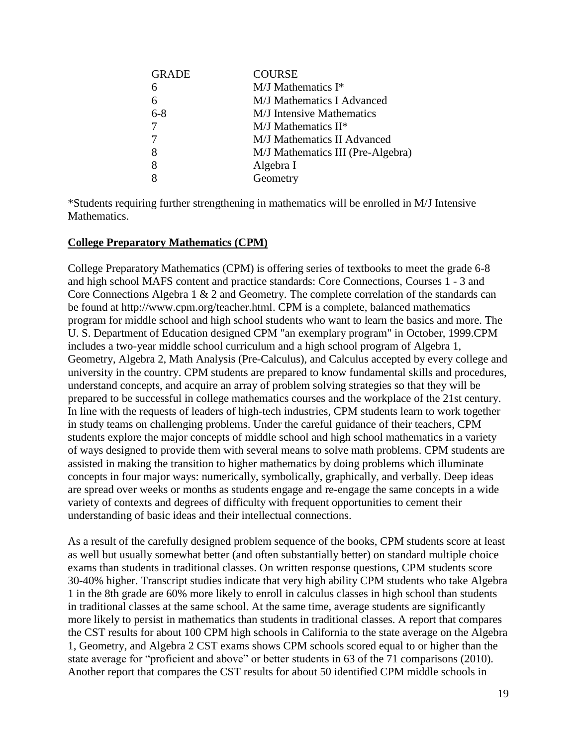| <b>GRADE</b> | <b>COURSE</b>                     |
|--------------|-----------------------------------|
|              | $M/J$ Mathematics I*              |
|              | M/J Mathematics I Advanced        |
| $6 - 8$      | <b>M/J</b> Intensive Mathematics  |
|              | $M/J$ Mathematics II*             |
|              | M/J Mathematics II Advanced       |
| 8            | M/J Mathematics III (Pre-Algebra) |
|              | Algebra I                         |
|              | Geometry                          |

\*Students requiring further strengthening in mathematics will be enrolled in M/J Intensive Mathematics.

#### **College Preparatory Mathematics (CPM)**

College Preparatory Mathematics (CPM) is offering series of textbooks to meet the grade 6-8 and high school MAFS content and practice standards: Core Connections, Courses 1 - 3 and Core Connections Algebra 1 & 2 and Geometry. The complete correlation of the standards can be found at http://www.cpm.org/teacher.html. CPM is a complete, balanced mathematics program for middle school and high school students who want to learn the basics and more. The U. S. Department of Education designed CPM "an exemplary program" in October, 1999.CPM includes a two-year middle school curriculum and a high school program of Algebra 1, Geometry, Algebra 2, Math Analysis (Pre-Calculus), and Calculus accepted by every college and university in the country. CPM students are prepared to know fundamental skills and procedures, understand concepts, and acquire an array of problem solving strategies so that they will be prepared to be successful in college mathematics courses and the workplace of the 21st century. In line with the requests of leaders of high-tech industries, CPM students learn to work together in study teams on challenging problems. Under the careful guidance of their teachers, CPM students explore the major concepts of middle school and high school mathematics in a variety of ways designed to provide them with several means to solve math problems. CPM students are assisted in making the transition to higher mathematics by doing problems which illuminate concepts in four major ways: numerically, symbolically, graphically, and verbally. Deep ideas are spread over weeks or months as students engage and re-engage the same concepts in a wide variety of contexts and degrees of difficulty with frequent opportunities to cement their understanding of basic ideas and their intellectual connections.

As a result of the carefully designed problem sequence of the books, CPM students score at least as well but usually somewhat better (and often substantially better) on standard multiple choice exams than students in traditional classes. On written response questions, CPM students score 30-40% higher. Transcript studies indicate that very high ability CPM students who take Algebra 1 in the 8th grade are 60% more likely to enroll in calculus classes in high school than students in traditional classes at the same school. At the same time, average students are significantly more likely to persist in mathematics than students in traditional classes. A report that compares the CST results for about 100 CPM high schools in California to the state average on the Algebra 1, Geometry, and Algebra 2 CST exams shows CPM schools scored equal to or higher than the state average for "proficient and above" or better students in 63 of the 71 comparisons (2010). Another report that compares the CST results for about 50 identified CPM middle schools in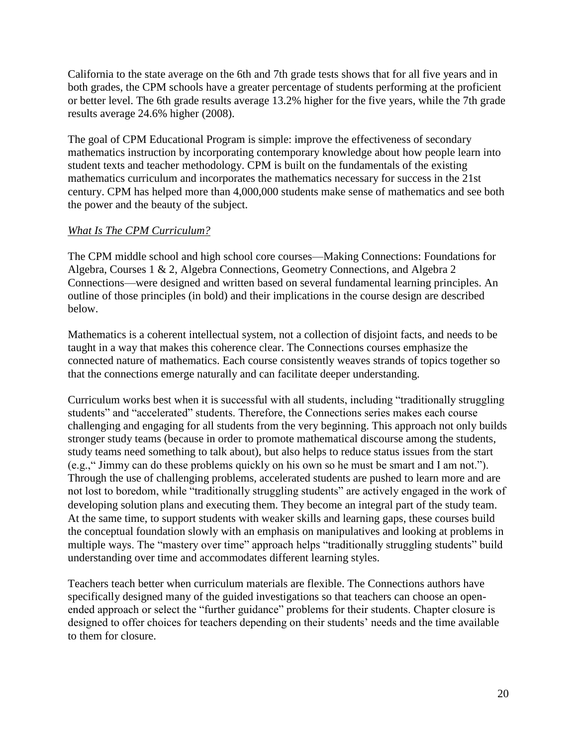California to the state average on the 6th and 7th grade tests shows that for all five years and in both grades, the CPM schools have a greater percentage of students performing at the proficient or better level. The 6th grade results average 13.2% higher for the five years, while the 7th grade results average 24.6% higher (2008).

The goal of CPM Educational Program is simple: improve the effectiveness of secondary mathematics instruction by incorporating contemporary knowledge about how people learn into student texts and teacher methodology. CPM is built on the fundamentals of the existing mathematics curriculum and incorporates the mathematics necessary for success in the 21st century. CPM has helped more than 4,000,000 students make sense of mathematics and see both the power and the beauty of the subject.

## *What Is The CPM Curriculum?*

The CPM middle school and high school core courses—Making Connections: Foundations for Algebra, Courses 1 & 2, Algebra Connections, Geometry Connections, and Algebra 2 Connections—were designed and written based on several fundamental learning principles. An outline of those principles (in bold) and their implications in the course design are described below.

Mathematics is a coherent intellectual system, not a collection of disjoint facts, and needs to be taught in a way that makes this coherence clear. The Connections courses emphasize the connected nature of mathematics. Each course consistently weaves strands of topics together so that the connections emerge naturally and can facilitate deeper understanding.

Curriculum works best when it is successful with all students, including "traditionally struggling students" and "accelerated" students. Therefore, the Connections series makes each course challenging and engaging for all students from the very beginning. This approach not only builds stronger study teams (because in order to promote mathematical discourse among the students, study teams need something to talk about), but also helps to reduce status issues from the start (e.g.," Jimmy can do these problems quickly on his own so he must be smart and I am not."). Through the use of challenging problems, accelerated students are pushed to learn more and are not lost to boredom, while "traditionally struggling students" are actively engaged in the work of developing solution plans and executing them. They become an integral part of the study team. At the same time, to support students with weaker skills and learning gaps, these courses build the conceptual foundation slowly with an emphasis on manipulatives and looking at problems in multiple ways. The "mastery over time" approach helps "traditionally struggling students" build understanding over time and accommodates different learning styles.

Teachers teach better when curriculum materials are flexible. The Connections authors have specifically designed many of the guided investigations so that teachers can choose an openended approach or select the "further guidance" problems for their students. Chapter closure is designed to offer choices for teachers depending on their students' needs and the time available to them for closure.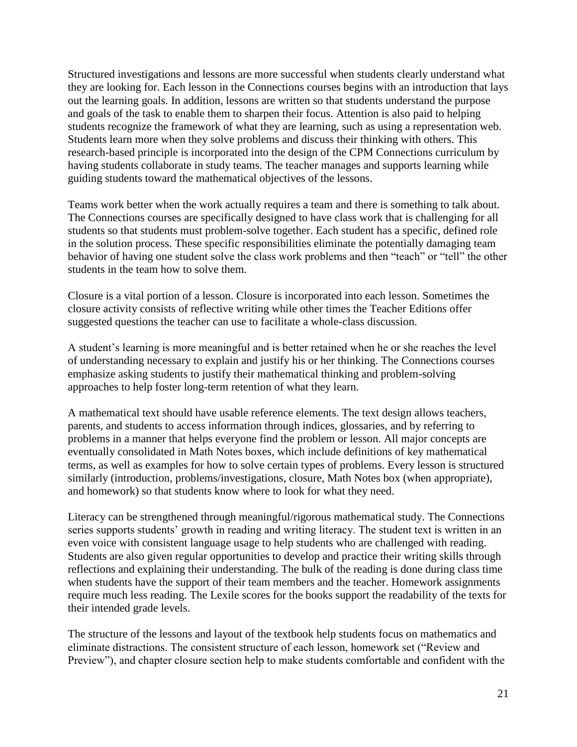Structured investigations and lessons are more successful when students clearly understand what they are looking for. Each lesson in the Connections courses begins with an introduction that lays out the learning goals. In addition, lessons are written so that students understand the purpose and goals of the task to enable them to sharpen their focus. Attention is also paid to helping students recognize the framework of what they are learning, such as using a representation web. Students learn more when they solve problems and discuss their thinking with others. This research-based principle is incorporated into the design of the CPM Connections curriculum by having students collaborate in study teams. The teacher manages and supports learning while guiding students toward the mathematical objectives of the lessons.

Teams work better when the work actually requires a team and there is something to talk about. The Connections courses are specifically designed to have class work that is challenging for all students so that students must problem-solve together. Each student has a specific, defined role in the solution process. These specific responsibilities eliminate the potentially damaging team behavior of having one student solve the class work problems and then "teach" or "tell" the other students in the team how to solve them.

Closure is a vital portion of a lesson. Closure is incorporated into each lesson. Sometimes the closure activity consists of reflective writing while other times the Teacher Editions offer suggested questions the teacher can use to facilitate a whole-class discussion.

A student's learning is more meaningful and is better retained when he or she reaches the level of understanding necessary to explain and justify his or her thinking. The Connections courses emphasize asking students to justify their mathematical thinking and problem-solving approaches to help foster long-term retention of what they learn.

A mathematical text should have usable reference elements. The text design allows teachers, parents, and students to access information through indices, glossaries, and by referring to problems in a manner that helps everyone find the problem or lesson. All major concepts are eventually consolidated in Math Notes boxes, which include definitions of key mathematical terms, as well as examples for how to solve certain types of problems. Every lesson is structured similarly (introduction, problems/investigations, closure, Math Notes box (when appropriate), and homework) so that students know where to look for what they need.

Literacy can be strengthened through meaningful/rigorous mathematical study. The Connections series supports students' growth in reading and writing literacy. The student text is written in an even voice with consistent language usage to help students who are challenged with reading. Students are also given regular opportunities to develop and practice their writing skills through reflections and explaining their understanding. The bulk of the reading is done during class time when students have the support of their team members and the teacher. Homework assignments require much less reading. The Lexile scores for the books support the readability of the texts for their intended grade levels.

The structure of the lessons and layout of the textbook help students focus on mathematics and eliminate distractions. The consistent structure of each lesson, homework set ("Review and Preview"), and chapter closure section help to make students comfortable and confident with the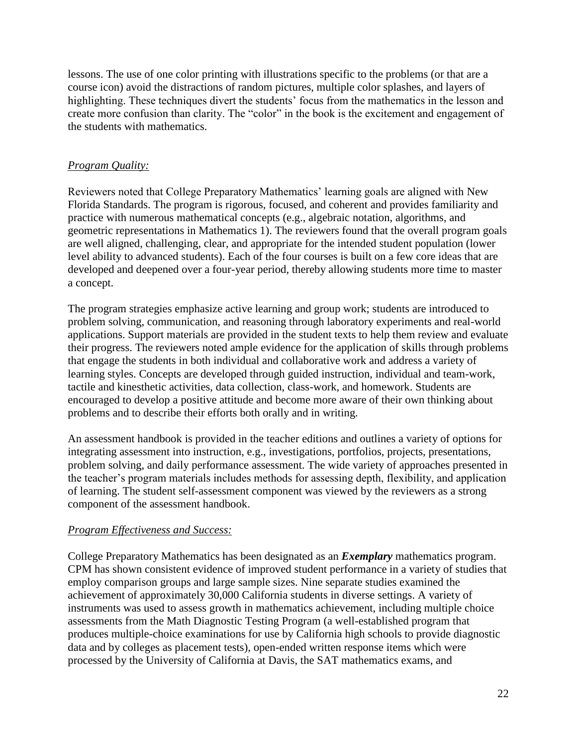lessons. The use of one color printing with illustrations specific to the problems (or that are a course icon) avoid the distractions of random pictures, multiple color splashes, and layers of highlighting. These techniques divert the students' focus from the mathematics in the lesson and create more confusion than clarity. The "color" in the book is the excitement and engagement of the students with mathematics.

# *Program Quality:*

Reviewers noted that College Preparatory Mathematics' learning goals are aligned with New Florida Standards. The program is rigorous, focused, and coherent and provides familiarity and practice with numerous mathematical concepts (e.g., algebraic notation, algorithms, and geometric representations in Mathematics 1). The reviewers found that the overall program goals are well aligned, challenging, clear, and appropriate for the intended student population (lower level ability to advanced students). Each of the four courses is built on a few core ideas that are developed and deepened over a four-year period, thereby allowing students more time to master a concept.

The program strategies emphasize active learning and group work; students are introduced to problem solving, communication, and reasoning through laboratory experiments and real-world applications. Support materials are provided in the student texts to help them review and evaluate their progress. The reviewers noted ample evidence for the application of skills through problems that engage the students in both individual and collaborative work and address a variety of learning styles. Concepts are developed through guided instruction, individual and team-work, tactile and kinesthetic activities, data collection, class-work, and homework. Students are encouraged to develop a positive attitude and become more aware of their own thinking about problems and to describe their efforts both orally and in writing.

An assessment handbook is provided in the teacher editions and outlines a variety of options for integrating assessment into instruction, e.g., investigations, portfolios, projects, presentations, problem solving, and daily performance assessment. The wide variety of approaches presented in the teacher's program materials includes methods for assessing depth, flexibility, and application of learning. The student self-assessment component was viewed by the reviewers as a strong component of the assessment handbook.

## *Program Effectiveness and Success:*

College Preparatory Mathematics has been designated as an *Exemplary* mathematics program. CPM has shown consistent evidence of improved student performance in a variety of studies that employ comparison groups and large sample sizes. Nine separate studies examined the achievement of approximately 30,000 California students in diverse settings. A variety of instruments was used to assess growth in mathematics achievement, including multiple choice assessments from the Math Diagnostic Testing Program (a well-established program that produces multiple-choice examinations for use by California high schools to provide diagnostic data and by colleges as placement tests), open-ended written response items which were processed by the University of California at Davis, the SAT mathematics exams, and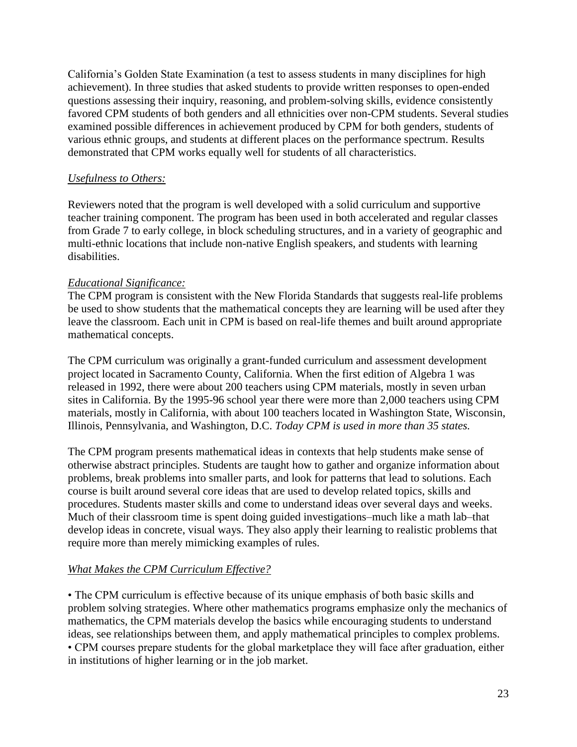California's Golden State Examination (a test to assess students in many disciplines for high achievement). In three studies that asked students to provide written responses to open-ended questions assessing their inquiry, reasoning, and problem-solving skills, evidence consistently favored CPM students of both genders and all ethnicities over non-CPM students. Several studies examined possible differences in achievement produced by CPM for both genders, students of various ethnic groups, and students at different places on the performance spectrum. Results demonstrated that CPM works equally well for students of all characteristics.

## *Usefulness to Others:*

Reviewers noted that the program is well developed with a solid curriculum and supportive teacher training component. The program has been used in both accelerated and regular classes from Grade 7 to early college, in block scheduling structures, and in a variety of geographic and multi-ethnic locations that include non-native English speakers, and students with learning disabilities.

#### *Educational Significance:*

The CPM program is consistent with the New Florida Standards that suggests real-life problems be used to show students that the mathematical concepts they are learning will be used after they leave the classroom. Each unit in CPM is based on real-life themes and built around appropriate mathematical concepts.

The CPM curriculum was originally a grant-funded curriculum and assessment development project located in Sacramento County, California. When the first edition of Algebra 1 was released in 1992, there were about 200 teachers using CPM materials, mostly in seven urban sites in California. By the 1995-96 school year there were more than 2,000 teachers using CPM materials, mostly in California, with about 100 teachers located in Washington State, Wisconsin, Illinois, Pennsylvania, and Washington, D.C. *Today CPM is used in more than 35 states.*

The CPM program presents mathematical ideas in contexts that help students make sense of otherwise abstract principles. Students are taught how to gather and organize information about problems, break problems into smaller parts, and look for patterns that lead to solutions. Each course is built around several core ideas that are used to develop related topics, skills and procedures. Students master skills and come to understand ideas over several days and weeks. Much of their classroom time is spent doing guided investigations–much like a math lab–that develop ideas in concrete, visual ways. They also apply their learning to realistic problems that require more than merely mimicking examples of rules.

## *What Makes the CPM Curriculum Effective?*

• The CPM curriculum is effective because of its unique emphasis of both basic skills and problem solving strategies. Where other mathematics programs emphasize only the mechanics of mathematics, the CPM materials develop the basics while encouraging students to understand ideas, see relationships between them, and apply mathematical principles to complex problems. • CPM courses prepare students for the global marketplace they will face after graduation, either in institutions of higher learning or in the job market.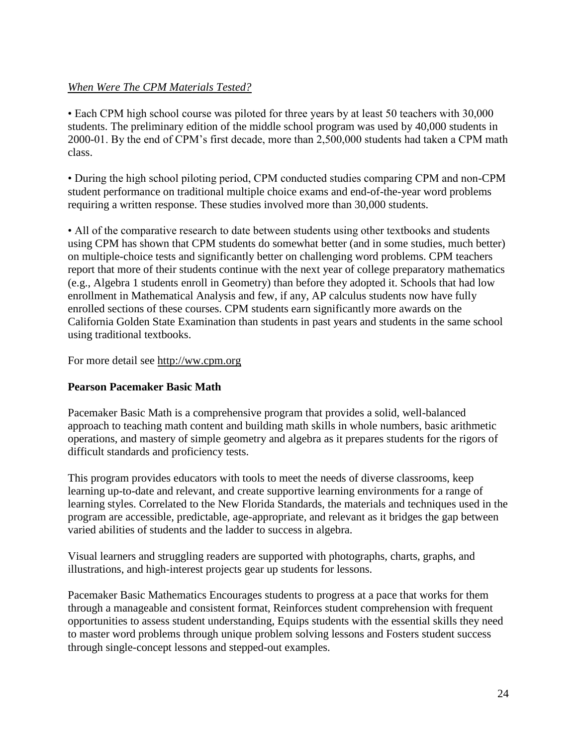# *When Were The CPM Materials Tested?*

• Each CPM high school course was piloted for three years by at least 50 teachers with 30,000 students. The preliminary edition of the middle school program was used by 40,000 students in 2000-01. By the end of CPM's first decade, more than 2,500,000 students had taken a CPM math class.

• During the high school piloting period, CPM conducted studies comparing CPM and non-CPM student performance on traditional multiple choice exams and end-of-the-year word problems requiring a written response. These studies involved more than 30,000 students.

• All of the comparative research to date between students using other textbooks and students using CPM has shown that CPM students do somewhat better (and in some studies, much better) on multiple-choice tests and significantly better on challenging word problems. CPM teachers report that more of their students continue with the next year of college preparatory mathematics (e.g., Algebra 1 students enroll in Geometry) than before they adopted it. Schools that had low enrollment in Mathematical Analysis and few, if any, AP calculus students now have fully enrolled sections of these courses. CPM students earn significantly more awards on the California Golden State Examination than students in past years and students in the same school using traditional textbooks.

For more detail see http://ww.cpm.org

## **Pearson Pacemaker Basic Math**

Pacemaker Basic Math is a comprehensive program that provides a solid, well-balanced approach to teaching math content and building math skills in whole numbers, basic arithmetic operations, and mastery of simple geometry and algebra as it prepares students for the rigors of difficult standards and proficiency tests.

This program provides educators with tools to meet the needs of diverse classrooms, keep learning up-to-date and relevant, and create supportive learning environments for a range of learning styles. Correlated to the New Florida Standards, the materials and techniques used in the program are accessible, predictable, age-appropriate, and relevant as it bridges the gap between varied abilities of students and the ladder to success in algebra.

Visual learners and struggling readers are supported with photographs, charts, graphs, and illustrations, and high-interest projects gear up students for lessons.

Pacemaker Basic Mathematics Encourages students to progress at a pace that works for them through a manageable and consistent format, Reinforces student comprehension with frequent opportunities to assess student understanding, Equips students with the essential skills they need to master word problems through unique problem solving lessons and Fosters student success through single-concept lessons and stepped-out examples.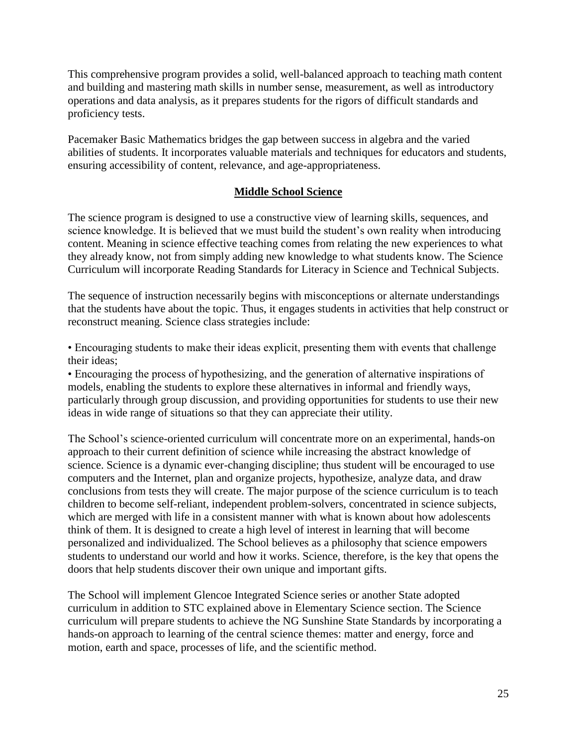This comprehensive program provides a solid, well-balanced approach to teaching math content and building and mastering math skills in number sense, measurement, as well as introductory operations and data analysis, as it prepares students for the rigors of difficult standards and proficiency tests.

Pacemaker Basic Mathematics bridges the gap between success in algebra and the varied abilities of students. It incorporates valuable materials and techniques for educators and students, ensuring accessibility of content, relevance, and age-appropriateness.

#### **Middle School Science**

The science program is designed to use a constructive view of learning skills, sequences, and science knowledge. It is believed that we must build the student's own reality when introducing content. Meaning in science effective teaching comes from relating the new experiences to what they already know, not from simply adding new knowledge to what students know. The Science Curriculum will incorporate Reading Standards for Literacy in Science and Technical Subjects.

The sequence of instruction necessarily begins with misconceptions or alternate understandings that the students have about the topic. Thus, it engages students in activities that help construct or reconstruct meaning. Science class strategies include:

• Encouraging students to make their ideas explicit, presenting them with events that challenge their ideas;

• Encouraging the process of hypothesizing, and the generation of alternative inspirations of models, enabling the students to explore these alternatives in informal and friendly ways, particularly through group discussion, and providing opportunities for students to use their new ideas in wide range of situations so that they can appreciate their utility.

The School's science-oriented curriculum will concentrate more on an experimental, hands-on approach to their current definition of science while increasing the abstract knowledge of science. Science is a dynamic ever-changing discipline; thus student will be encouraged to use computers and the Internet, plan and organize projects, hypothesize, analyze data, and draw conclusions from tests they will create. The major purpose of the science curriculum is to teach children to become self-reliant, independent problem-solvers, concentrated in science subjects, which are merged with life in a consistent manner with what is known about how adolescents think of them. It is designed to create a high level of interest in learning that will become personalized and individualized. The School believes as a philosophy that science empowers students to understand our world and how it works. Science, therefore, is the key that opens the doors that help students discover their own unique and important gifts.

The School will implement Glencoe Integrated Science series or another State adopted curriculum in addition to STC explained above in Elementary Science section. The Science curriculum will prepare students to achieve the NG Sunshine State Standards by incorporating a hands-on approach to learning of the central science themes: matter and energy, force and motion, earth and space, processes of life, and the scientific method.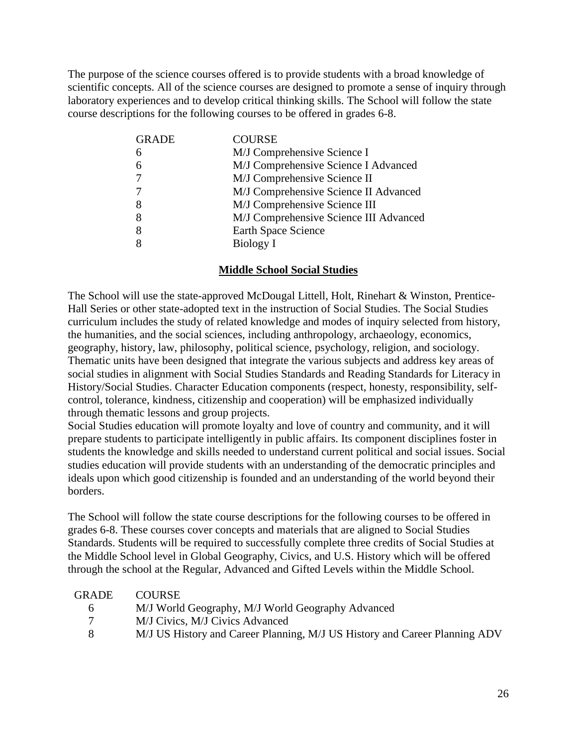The purpose of the science courses offered is to provide students with a broad knowledge of scientific concepts. All of the science courses are designed to promote a sense of inquiry through laboratory experiences and to develop critical thinking skills. The School will follow the state course descriptions for the following courses to be offered in grades 6-8.

| <b>GRADE</b> | <b>COURSE</b>                          |
|--------------|----------------------------------------|
| 6            | M/J Comprehensive Science I            |
| 6            | M/J Comprehensive Science I Advanced   |
|              | M/J Comprehensive Science II           |
|              | M/J Comprehensive Science II Advanced  |
|              | M/J Comprehensive Science III          |
|              | M/J Comprehensive Science III Advanced |
|              | Earth Space Science                    |
|              | Biology I                              |
|              |                                        |

#### **Middle School Social Studies**

The School will use the state-approved McDougal Littell, Holt, Rinehart & Winston, Prentice-Hall Series or other state-adopted text in the instruction of Social Studies. The Social Studies curriculum includes the study of related knowledge and modes of inquiry selected from history, the humanities, and the social sciences, including anthropology, archaeology, economics, geography, history, law, philosophy, political science, psychology, religion, and sociology. Thematic units have been designed that integrate the various subjects and address key areas of social studies in alignment with Social Studies Standards and Reading Standards for Literacy in History/Social Studies. Character Education components (respect, honesty, responsibility, selfcontrol, tolerance, kindness, citizenship and cooperation) will be emphasized individually through thematic lessons and group projects.

Social Studies education will promote loyalty and love of country and community, and it will prepare students to participate intelligently in public affairs. Its component disciplines foster in students the knowledge and skills needed to understand current political and social issues. Social studies education will provide students with an understanding of the democratic principles and ideals upon which good citizenship is founded and an understanding of the world beyond their borders.

The School will follow the state course descriptions for the following courses to be offered in grades 6-8. These courses cover concepts and materials that are aligned to Social Studies Standards. Students will be required to successfully complete three credits of Social Studies at the Middle School level in Global Geography, Civics, and U.S. History which will be offered through the school at the Regular, Advanced and Gifted Levels within the Middle School.

| GRADE | <b>COURSE</b>                                                              |
|-------|----------------------------------------------------------------------------|
| 6     | M/J World Geography, M/J World Geography Advanced                          |
| -7    | M/J Civics, M/J Civics Advanced                                            |
| 8     | M/J US History and Career Planning, M/J US History and Career Planning ADV |